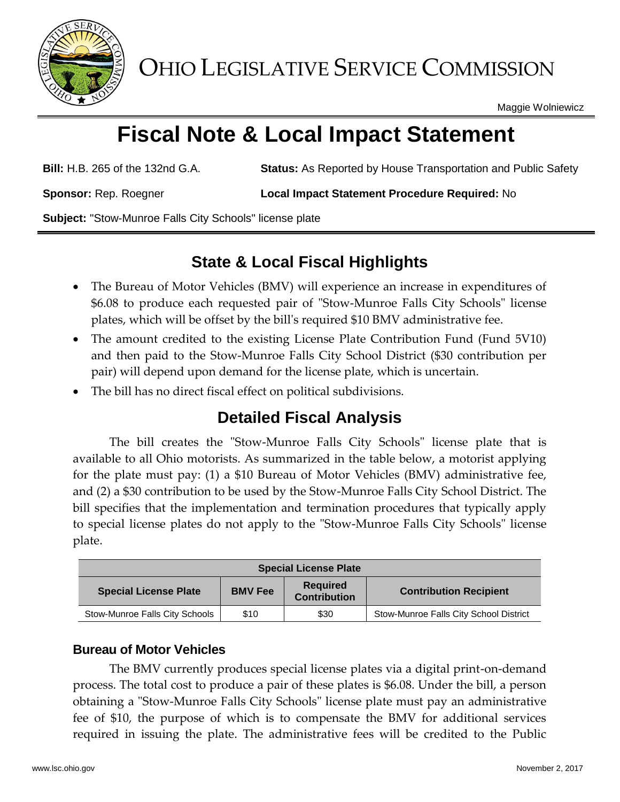

OHIO LEGISLATIVE SERVICE COMMISSION

Maggie Wolniewicz

# **Fiscal Note & Local Impact Statement**

**Bill:** H.B. 265 of the 132nd G.A. **Status:** As Reported by House Transportation and Public Safety

**Sponsor:** Rep. Roegner **Local Impact Statement Procedure Required:** No

**Subject:** "Stow-Munroe Falls City Schools" license plate

## **State & Local Fiscal Highlights**

- The Bureau of Motor Vehicles (BMV) will experience an increase in expenditures of \$6.08 to produce each requested pair of "Stow-Munroe Falls City Schools" license plates, which will be offset by the bill's required \$10 BMV administrative fee.
- The amount credited to the existing License Plate Contribution Fund (Fund 5V10) and then paid to the Stow-Munroe Falls City School District (\$30 contribution per pair) will depend upon demand for the license plate, which is uncertain.
- The bill has no direct fiscal effect on political subdivisions.

## **Detailed Fiscal Analysis**

The bill creates the "Stow-Munroe Falls City Schools" license plate that is available to all Ohio motorists. As summarized in the table below, a motorist applying for the plate must pay: (1) a \$10 Bureau of Motor Vehicles (BMV) administrative fee, and (2) a \$30 contribution to be used by the Stow-Munroe Falls City School District. The bill specifies that the implementation and termination procedures that typically apply to special license plates do not apply to the "Stow-Munroe Falls City Schools" license plate.

| <b>Special License Plate</b>   |                |                                        |                                        |
|--------------------------------|----------------|----------------------------------------|----------------------------------------|
| <b>Special License Plate</b>   | <b>BMV Fee</b> | <b>Required</b><br><b>Contribution</b> | <b>Contribution Recipient</b>          |
| Stow-Munroe Falls City Schools | \$10           | \$30                                   | Stow-Munroe Falls City School District |

### **Bureau of Motor Vehicles**

The BMV currently produces special license plates via a digital print-on-demand process. The total cost to produce a pair of these plates is \$6.08. Under the bill, a person obtaining a "Stow-Munroe Falls City Schools" license plate must pay an administrative fee of \$10, the purpose of which is to compensate the BMV for additional services required in issuing the plate. The administrative fees will be credited to the Public